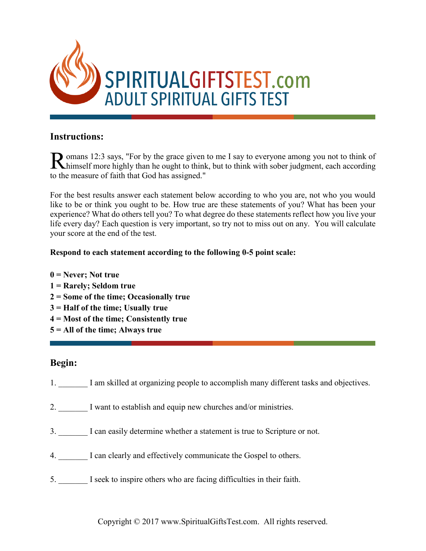

### **Instructions:**

omans 12:3 says, "For by the grace given to me I say to everyone among you not to think of Romans 12:3 says, "For by the grace given to me I say to everyone among you not to think of himself more highly than he ought to think, but to think with sober judgment, each according to the measure of faith that God has assigned."

For the best results answer each statement below according to who you are, not who you would like to be or think you ought to be. How true are these statements of you? What has been your experience? What do others tell you? To what degree do these statements reflect how you live your life every day? Each question is very important, so try not to miss out on any. You will calculate your score at the end of the test.

#### **Respond to each statement according to the following 0-5 point scale:**

- **0 = Never; Not true**
- **1 = Rarely; Seldom true**
- **2 = Some of the time; Occasionally true**
- **3 = Half of the time; Usually true**
- **4 = Most of the time; Consistently true**
- **5 = All of the time; Always true**

## **Begin:**

- 1. I am skilled at organizing people to accomplish many different tasks and objectives.
- 2. I want to establish and equip new churches and/or ministries.
- 3. \_\_\_\_\_\_\_ I can easily determine whether a statement is true to Scripture or not.
- 4. I can clearly and effectively communicate the Gospel to others.
- 5. \_\_\_\_\_\_\_ I seek to inspire others who are facing difficulties in their faith.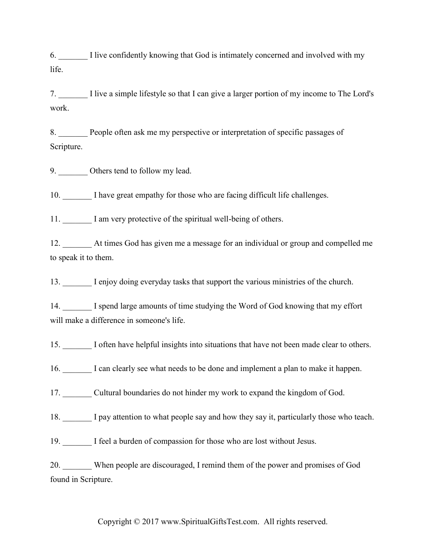6. \_\_\_\_\_\_\_ I live confidently knowing that God is intimately concerned and involved with my life.

7. \_\_\_\_\_\_\_ I live a simple lifestyle so that I can give a larger portion of my income to The Lord's work.

8. People often ask me my perspective or interpretation of specific passages of Scripture.

9. Others tend to follow my lead.

10. \_\_\_\_\_\_\_ I have great empathy for those who are facing difficult life challenges.

11. \_\_\_\_\_\_\_ I am very protective of the spiritual well-being of others.

12. \_\_\_\_\_\_\_ At times God has given me a message for an individual or group and compelled me to speak it to them.

13. \_\_\_\_\_\_\_ I enjoy doing everyday tasks that support the various ministries of the church.

14. I spend large amounts of time studying the Word of God knowing that my effort will make a difference in someone's life.

15. \_\_\_\_\_\_\_ I often have helpful insights into situations that have not been made clear to others.

16. I can clearly see what needs to be done and implement a plan to make it happen.

17. \_\_\_\_\_\_\_ Cultural boundaries do not hinder my work to expand the kingdom of God.

18. \_\_\_\_\_\_\_ I pay attention to what people say and how they say it, particularly those who teach.

19. I feel a burden of compassion for those who are lost without Jesus.

20. When people are discouraged, I remind them of the power and promises of God found in Scripture.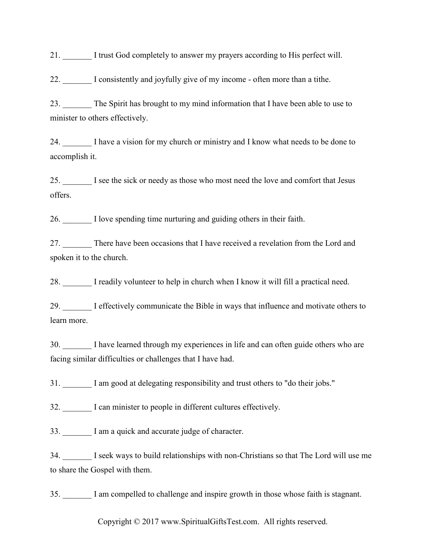21. \_\_\_\_\_\_\_ I trust God completely to answer my prayers according to His perfect will.

22. \_\_\_\_\_\_\_ I consistently and joyfully give of my income - often more than a tithe.

23. The Spirit has brought to my mind information that I have been able to use to minister to others effectively.

24. I have a vision for my church or ministry and I know what needs to be done to accomplish it.

25. I see the sick or needy as those who most need the love and comfort that Jesus offers.

26. \_\_\_\_\_\_\_ I love spending time nurturing and guiding others in their faith.

27. There have been occasions that I have received a revelation from the Lord and spoken it to the church.

28. I readily volunteer to help in church when I know it will fill a practical need.

29. I effectively communicate the Bible in ways that influence and motivate others to learn more.

30. I have learned through my experiences in life and can often guide others who are facing similar difficulties or challenges that I have had.

31. \_\_\_\_\_\_\_ I am good at delegating responsibility and trust others to "do their jobs."

32. I can minister to people in different cultures effectively.

33. \_\_\_\_\_\_\_ I am a quick and accurate judge of character.

34. \_\_\_\_\_\_\_ I seek ways to build relationships with non-Christians so that The Lord will use me to share the Gospel with them.

35. \_\_\_\_\_\_\_ I am compelled to challenge and inspire growth in those whose faith is stagnant.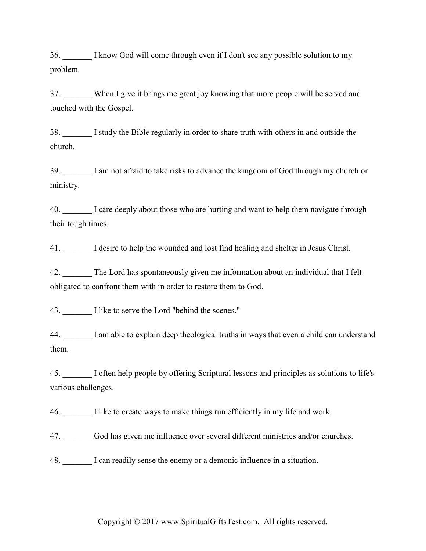36. \_\_\_\_\_\_\_ I know God will come through even if I don't see any possible solution to my problem.

37. When I give it brings me great joy knowing that more people will be served and touched with the Gospel.

38. \_\_\_\_\_\_\_ I study the Bible regularly in order to share truth with others in and outside the church.

39. \_\_\_\_\_\_\_ I am not afraid to take risks to advance the kingdom of God through my church or ministry.

40. I care deeply about those who are hurting and want to help them navigate through their tough times.

41. I desire to help the wounded and lost find healing and shelter in Jesus Christ.

42. The Lord has spontaneously given me information about an individual that I felt obligated to confront them with in order to restore them to God.

43. I like to serve the Lord "behind the scenes."

44. \_\_\_\_\_\_\_ I am able to explain deep theological truths in ways that even a child can understand them.

45. \_\_\_\_\_\_\_ I often help people by offering Scriptural lessons and principles as solutions to life's various challenges.

46. \_\_\_\_\_\_\_ I like to create ways to make things run efficiently in my life and work.

47. \_\_\_\_\_\_\_ God has given me influence over several different ministries and/or churches.

48. I can readily sense the enemy or a demonic influence in a situation.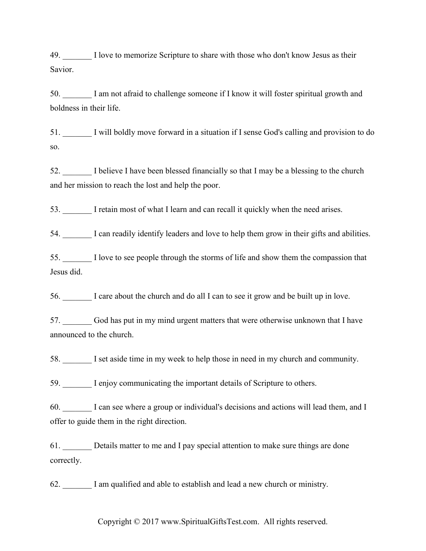49. I love to memorize Scripture to share with those who don't know Jesus as their Savior.

50. \_\_\_\_\_\_\_ I am not afraid to challenge someone if I know it will foster spiritual growth and boldness in their life.

51. \_\_\_\_\_\_\_ I will boldly move forward in a situation if I sense God's calling and provision to do so.

52. I believe I have been blessed financially so that I may be a blessing to the church and her mission to reach the lost and help the poor.

53. \_\_\_\_\_\_\_ I retain most of what I learn and can recall it quickly when the need arises.

54. I can readily identify leaders and love to help them grow in their gifts and abilities.

55. \_\_\_\_\_\_\_ I love to see people through the storms of life and show them the compassion that Jesus did.

56. \_\_\_\_\_\_\_ I care about the church and do all I can to see it grow and be built up in love.

57. \_\_\_\_\_\_\_ God has put in my mind urgent matters that were otherwise unknown that I have announced to the church.

58. \_\_\_\_\_\_\_ I set aside time in my week to help those in need in my church and community.

59. I enjoy communicating the important details of Scripture to others.

60. \_\_\_\_\_\_\_ I can see where a group or individual's decisions and actions will lead them, and I offer to guide them in the right direction.

61. \_\_\_\_\_\_\_ Details matter to me and I pay special attention to make sure things are done correctly.

62. \_\_\_\_\_\_\_ I am qualified and able to establish and lead a new church or ministry.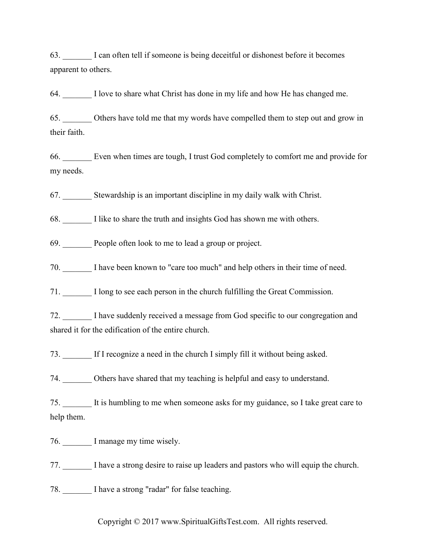63. \_\_\_\_\_\_\_ I can often tell if someone is being deceitful or dishonest before it becomes apparent to others.

64. \_\_\_\_\_\_\_ I love to share what Christ has done in my life and how He has changed me.

65. \_\_\_\_\_\_\_ Others have told me that my words have compelled them to step out and grow in their faith.

66. \_\_\_\_\_\_\_ Even when times are tough, I trust God completely to comfort me and provide for my needs.

67. \_\_\_\_\_\_\_ Stewardship is an important discipline in my daily walk with Christ.

68. \_\_\_\_\_\_\_ I like to share the truth and insights God has shown me with others.

69. People often look to me to lead a group or project.

70. \_\_\_\_\_\_\_ I have been known to "care too much" and help others in their time of need.

71. \_\_\_\_\_\_\_ I long to see each person in the church fulfilling the Great Commission.

72. \_\_\_\_\_\_\_ I have suddenly received a message from God specific to our congregation and shared it for the edification of the entire church.

73. If I recognize a need in the church I simply fill it without being asked.

74. \_\_\_\_\_\_\_ Others have shared that my teaching is helpful and easy to understand.

75. \_\_\_\_\_\_\_ It is humbling to me when someone asks for my guidance, so I take great care to help them.

76. I manage my time wisely.

77. \_\_\_\_\_\_\_ I have a strong desire to raise up leaders and pastors who will equip the church.

78. \_\_\_\_\_\_\_ I have a strong "radar" for false teaching.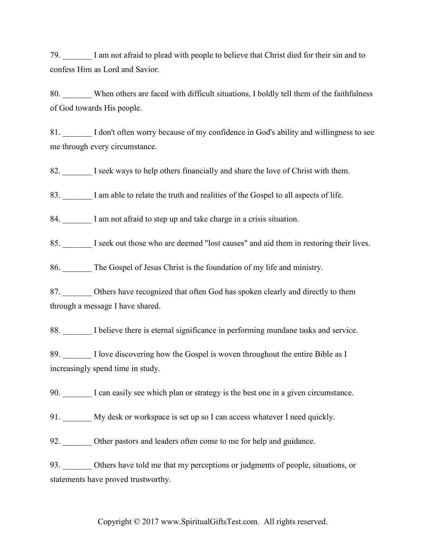79. \_\_\_\_\_\_\_ I am not afraid to plead with people to believe that Christ died for their sin and to confess Him as Lord and Savior.

80. When others are faced with difficult situations, I boldly tell them of the faithfulness of God towards His people.

81. I don't often worry because of my confidence in God's ability and willingness to see me through every circumstance.

82. I seek ways to help others financially and share the love of Christ with them.

83. I am able to relate the truth and realities of the Gospel to all aspects of life.

84. I am not afraid to step up and take charge in a crisis situation.

85. I seek out those who are deemed "lost causes" and aid them in restoring their lives.

86. The Gospel of Jesus Christ is the foundation of my life and ministry.

87. Others have recognized that often God has spoken clearly and directly to them through a message I have shared.

88. I believe there is eternal significance in performing mundane tasks and service.

89. I love discovering how the Gospel is woven throughout the entire Bible as I increasingly spend time in study.

90. \_\_\_\_\_\_\_ I can easily see which plan or strategy is the best one in a given circumstance.

91. My desk or workspace is set up so I can access whatever I need quickly.

92. Other pastors and leaders often come to me for help and guidance.

93. Others have told me that my perceptions or judgments of people, situations, or statements have proved trustworthy.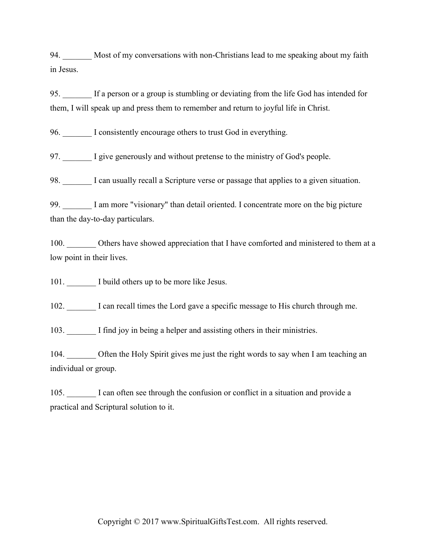94. Most of my conversations with non-Christians lead to me speaking about my faith in Jesus.

95. \_\_\_\_\_\_\_ If a person or a group is stumbling or deviating from the life God has intended for them, I will speak up and press them to remember and return to joyful life in Christ.

96. I consistently encourage others to trust God in everything.

97. \_\_\_\_\_\_\_ I give generously and without pretense to the ministry of God's people.

98. I can usually recall a Scripture verse or passage that applies to a given situation.

99. I am more "visionary" than detail oriented. I concentrate more on the big picture than the day-to-day particulars.

100. Others have showed appreciation that I have comforted and ministered to them at a low point in their lives.

101. I build others up to be more like Jesus.

102. \_\_\_\_\_\_\_ I can recall times the Lord gave a specific message to His church through me.

103. I find joy in being a helper and assisting others in their ministries.

104. Often the Holy Spirit gives me just the right words to say when I am teaching an individual or group.

105. I can often see through the confusion or conflict in a situation and provide a practical and Scriptural solution to it.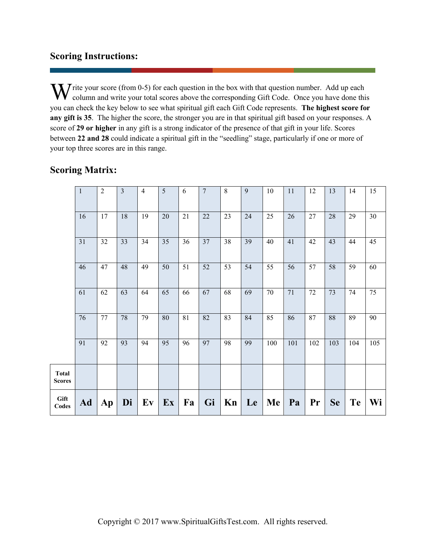## **Scoring Instructions:**

W rite your score (from 0-5) for each question in the box with that question number. Add up each column and write your total scores above the corresponding Gift Code. Once you have done thin column and write your total scores above the corresponding Gift Code. Once you have done this you can check the key below to see what spiritual gift each Gift Code represents. **The highest score for any gift is 35**. The higher the score, the stronger you are in that spiritual gift based on your responses. A score of **29 or higher** in any gift is a strong indicator of the presence of that gift in your life. Scores between **22 and 28** could indicate a spiritual gift in the "seedling" stage, particularly if one or more of your top three scores are in this range.

# **Scoring Matrix:**

|                               | $\,1\,$ | $\overline{2}$ | $\overline{\mathbf{3}}$ | $\overline{4}$ | 5  | 6               | $\overline{7}$ | 8  | 9  | 10  | 11  | 12     | 13        | 14        | 15  |
|-------------------------------|---------|----------------|-------------------------|----------------|----|-----------------|----------------|----|----|-----|-----|--------|-----------|-----------|-----|
|                               | 16      | 17             | 18                      | 19             | 20 | 21              | $22\,$         | 23 | 24 | 25  | 26  | 27     | 28        | 29        | 30  |
|                               | 31      | 32             | 33                      | 34             | 35 | 36              | 37             | 38 | 39 | 40  | 41  | 42     | 43        | 44        | 45  |
|                               | 46      | 47             | 48                      | 49             | 50 | 51              | 52             | 53 | 54 | 55  | 56  | 57     | 58        | 59        | 60  |
|                               | 61      | 62             | 63                      | 64             | 65 | 66              | 67             | 68 | 69 | 70  | 71  | $72\,$ | 73        | 74        | 75  |
|                               | 76      | 77             | $78\,$                  | 79             | 80 | $\overline{81}$ | 82             | 83 | 84 | 85  | 86  | 87     | 88        | 89        | 90  |
|                               | 91      | 92             | 93                      | 94             | 95 | 96              | 97             | 98 | 99 | 100 | 101 | 102    | 103       | 104       | 105 |
| <b>Total</b><br><b>Scores</b> |         |                |                         |                |    |                 |                |    |    |     |     |        |           |           |     |
| Gift<br>Codes                 | Ad      | Ap             | Di                      | Ev             | Ex | Fa              | Gi             | Kn | Le | Me  | Pa  | Pr     | <b>Se</b> | <b>Te</b> | Wi  |